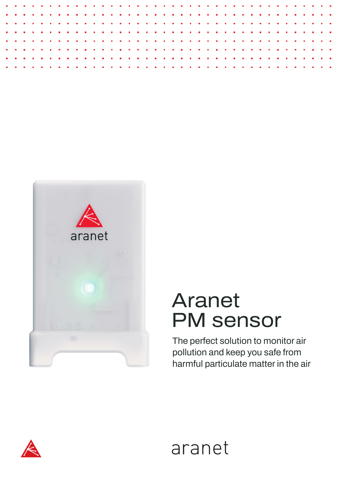



## Aranet PM sensor

The perfect solution to monitor air pollution and keep you safe from harmful particulate matter in the air